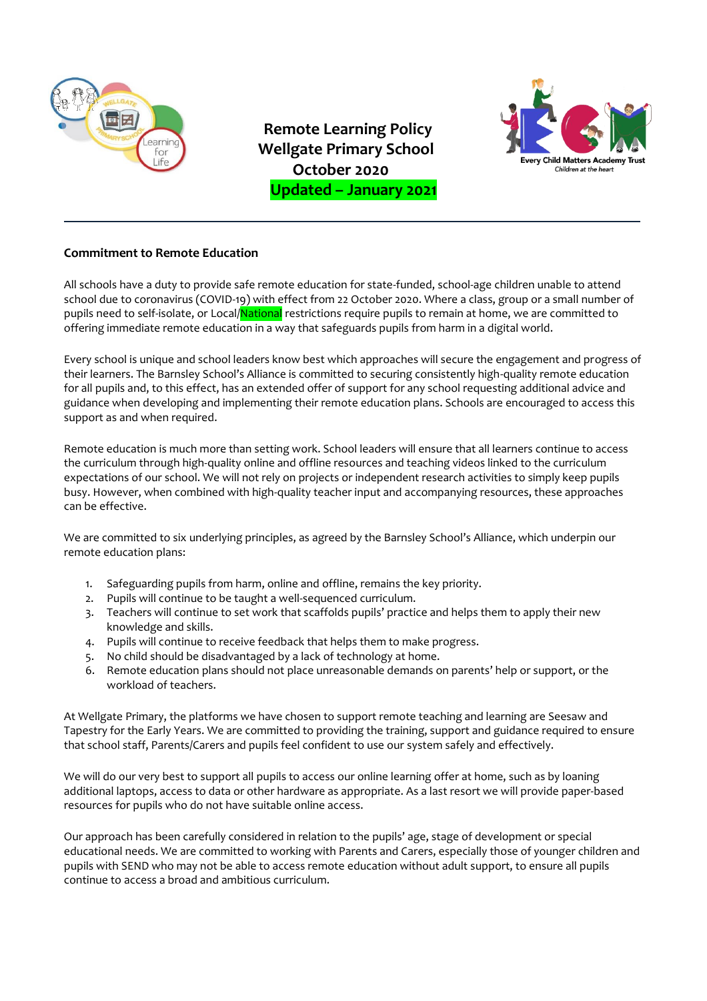

**Remote Learning Policy** *IDERET Wellgate Primary School*  **October 2020 Updated – January 2021**



# **Commitment to Remote Education**

All schools have a duty to provide safe remote education for state-funded, school-age children unable to attend school due to coronavirus (COVID-19) with effect from 22 October 2020. Where a class, group or a small number of pupils need to self-isolate, or Local/National restrictions require pupils to remain at home, we are committed to offering immediate remote education in a way that safeguards pupils from harm in a digital world.

Every school is unique and school leaders know best which approaches will secure the engagement and progress of their learners. The Barnsley School's Alliance is committed to securing consistently high-quality remote education for all pupils and, to this effect, has an extended offer of support for any school requesting additional advice and guidance when developing and implementing their remote education plans. Schools are encouraged to access this support as and when required.

Remote education is much more than setting work. School leaders will ensure that all learners continue to access the curriculum through high-quality online and offline resources and teaching videos linked to the curriculum expectations of our school. We will not rely on projects or independent research activities to simply keep pupils busy. However, when combined with high-quality teacher input and accompanying resources, these approaches can be effective.

We are committed to six underlying principles, as agreed by the Barnsley School's Alliance, which underpin our remote education plans:

- 1. Safeguarding pupils from harm, online and offline, remains the key priority.
- 2. Pupils will continue to be taught a well-sequenced curriculum.
- 3. Teachers will continue to set work that scaffolds pupils' practice and helps them to apply their new knowledge and skills.
- 4. Pupils will continue to receive feedback that helps them to make progress.
- 5. No child should be disadvantaged by a lack of technology at home.
- 6. Remote education plans should not place unreasonable demands on parents' help or support, or the workload of teachers.

At Wellgate Primary, the platforms we have chosen to support remote teaching and learning are Seesaw and Tapestry for the Early Years. We are committed to providing the training, support and guidance required to ensure that school staff, Parents/Carers and pupils feel confident to use our system safely and effectively.

We will do our very best to support all pupils to access our online learning offer at home, such as by loaning additional laptops, access to data or other hardware as appropriate. As a last resort we will provide paper-based resources for pupils who do not have suitable online access.

Our approach has been carefully considered in relation to the pupils' age, stage of development or special educational needs. We are committed to working with Parents and Carers, especially those of younger children and pupils with SEND who may not be able to access remote education without adult support, to ensure all pupils continue to access a broad and ambitious curriculum.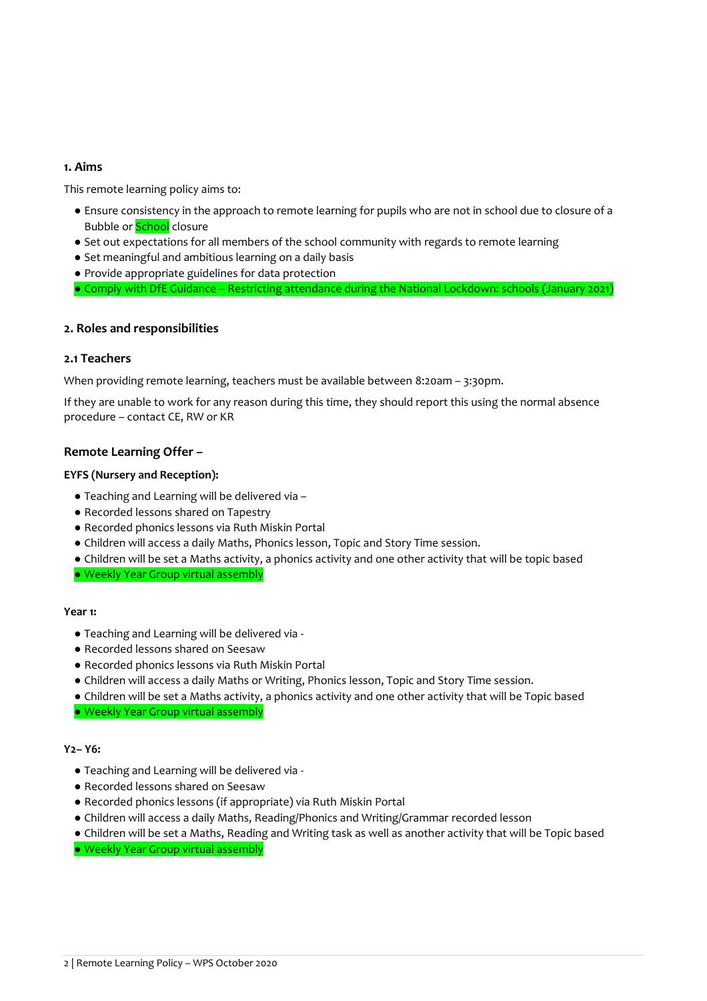# **1. Aims**

This remote learning policy aims to:

- Ensure consistency in the approach to remote learning for pupils who are not in school due to closure of a Bubble or **School** closure
- Set out expectations for all members of the school community with regards to remote learning
- Set meaningful and ambitious learning on a daily basis
- Provide appropriate guidelines for data protection
- Comply with DfE Guidance Restricting attendance during the National Lockdown: schools (January 2021)

## **2. Roles and responsibilities**

# **2.1 Teachers**

When providing remote learning, teachers must be available between 8:20am – 3:30pm.

If they are unable to work for any reason during this time, they should report this using the normal absence procedure – contact CE, RW or KR

# **Remote Learning Offer –**

## **EYFS (Nursery and Reception):**

- Teaching and Learning will be delivered via –
- Recorded lessons shared on Tapestry
- Recorded phonics lessons via Ruth Miskin Portal
- Children will access a daily Maths, Phonics lesson, Topic and Story Time session.
- Children will be set a Maths activity, a phonics activity and one other activity that will be topic based

● Weekly Year Group virtual assembly

## **Year 1:**

- Teaching and Learning will be delivered via -
- Recorded lessons shared on Seesaw
- Recorded phonics lessons via Ruth Miskin Portal
- Children will access a daily Maths or Writing, Phonics lesson, Topic and Story Time session.
- Children will be set a Maths activity, a phonics activity and one other activity that will be Topic based

● Weekly Year Group virtual assembly

### **Y2– Y6:**

- Teaching and Learning will be delivered via -
- Recorded lessons shared on Seesaw
- Recorded phonics lessons (if appropriate) via Ruth Miskin Portal
- Children will access a daily Maths, Reading/Phonics and Writing/Grammar recorded lesson
- Children will be set a Maths, Reading and Writing task as well as another activity that will be Topic based
- Weekly Year Group virtual assembly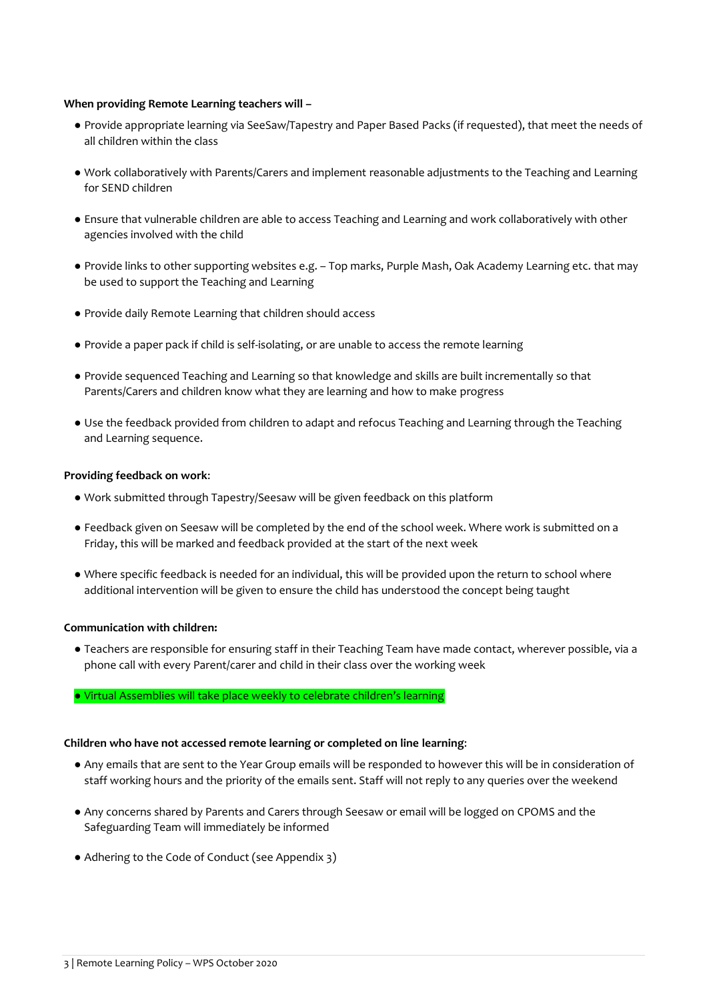#### **When providing Remote Learning teachers will –**

- Provide appropriate learning via SeeSaw/Tapestry and Paper Based Packs (if requested), that meet the needs of all children within the class
- Work collaboratively with Parents/Carers and implement reasonable adjustments to the Teaching and Learning for SEND children
- Ensure that vulnerable children are able to access Teaching and Learning and work collaboratively with other agencies involved with the child
- Provide links to other supporting websites e.g. Top marks, Purple Mash, Oak Academy Learning etc. that may be used to support the Teaching and Learning
- Provide daily Remote Learning that children should access
- Provide a paper pack if child is self-isolating, or are unable to access the remote learning
- Provide sequenced Teaching and Learning so that knowledge and skills are built incrementally so that Parents/Carers and children know what they are learning and how to make progress
- Use the feedback provided from children to adapt and refocus Teaching and Learning through the Teaching and Learning sequence.

#### **Providing feedback on work**:

- Work submitted through Tapestry/Seesaw will be given feedback on this platform
- Feedback given on Seesaw will be completed by the end of the school week. Where work is submitted on a Friday, this will be marked and feedback provided at the start of the next week
- Where specific feedback is needed for an individual, this will be provided upon the return to school where additional intervention will be given to ensure the child has understood the concept being taught

#### **Communication with children:**

- Teachers are responsible for ensuring staff in their Teaching Team have made contact, wherever possible, via a phone call with every Parent/carer and child in their class over the working week
- Virtual Assemblies will take place weekly to celebrate children's learning

#### **Children who have not accessed remote learning or completed on line learning**:

- Any emails that are sent to the Year Group emails will be responded to however this will be in consideration of staff working hours and the priority of the emails sent. Staff will not reply to any queries over the weekend
- Any concerns shared by Parents and Carers through Seesaw or email will be logged on CPOMS and the Safeguarding Team will immediately be informed
- Adhering to the Code of Conduct (see Appendix 3)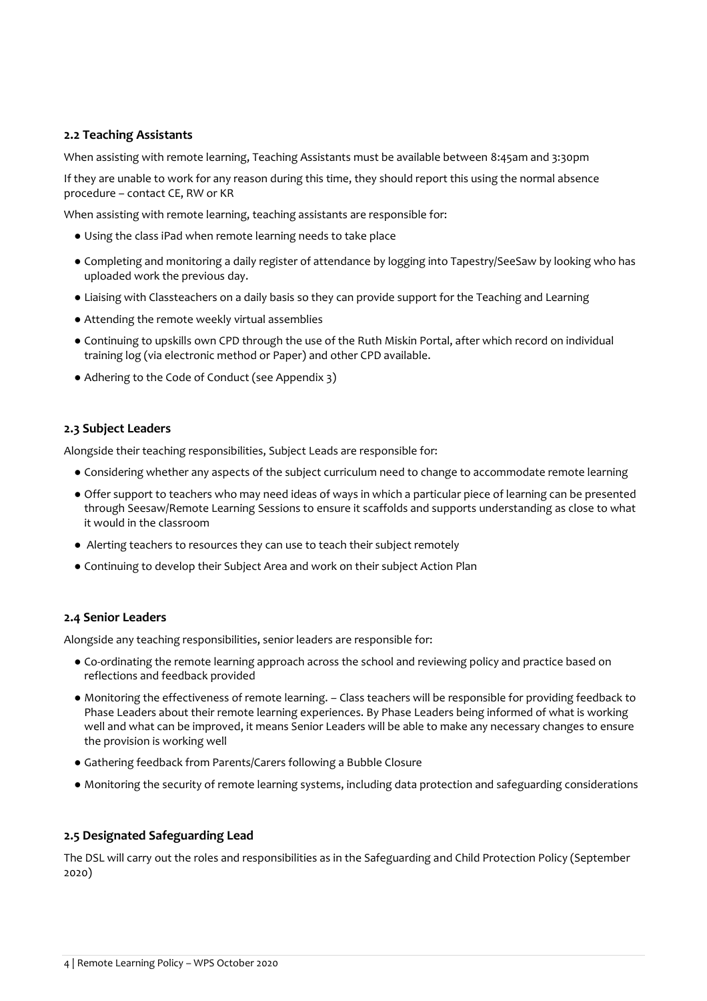# **2.2 Teaching Assistants**

When assisting with remote learning, Teaching Assistants must be available between 8:45am and 3:30pm

If they are unable to work for any reason during this time, they should report this using the normal absence procedure – contact CE, RW or KR

When assisting with remote learning, teaching assistants are responsible for:

- Using the class iPad when remote learning needs to take place
- Completing and monitoring a daily register of attendance by logging into Tapestry/SeeSaw by looking who has uploaded work the previous day.
- Liaising with Classteachers on a daily basis so they can provide support for the Teaching and Learning
- Attending the remote weekly virtual assemblies
- Continuing to upskills own CPD through the use of the Ruth Miskin Portal, after which record on individual training log (via electronic method or Paper) and other CPD available.
- Adhering to the Code of Conduct (see Appendix 3)

#### **2.3 Subject Leaders**

Alongside their teaching responsibilities, Subject Leads are responsible for:

- Considering whether any aspects of the subject curriculum need to change to accommodate remote learning
- Offer support to teachers who may need ideas of ways in which a particular piece of learning can be presented through Seesaw/Remote Learning Sessions to ensure it scaffolds and supports understanding as close to what it would in the classroom
- Alerting teachers to resources they can use to teach their subject remotely
- Continuing to develop their Subject Area and work on their subject Action Plan

#### **2.4 Senior Leaders**

Alongside any teaching responsibilities, senior leaders are responsible for:

- Co-ordinating the remote learning approach across the school and reviewing policy and practice based on reflections and feedback provided
- Monitoring the effectiveness of remote learning. Class teachers will be responsible for providing feedback to Phase Leaders about their remote learning experiences. By Phase Leaders being informed of what is working well and what can be improved, it means Senior Leaders will be able to make any necessary changes to ensure the provision is working well
- Gathering feedback from Parents/Carers following a Bubble Closure
- Monitoring the security of remote learning systems, including data protection and safeguarding considerations

#### **2.5 Designated Safeguarding Lead**

The DSL will carry out the roles and responsibilities as in the Safeguarding and Child Protection Policy (September 2020)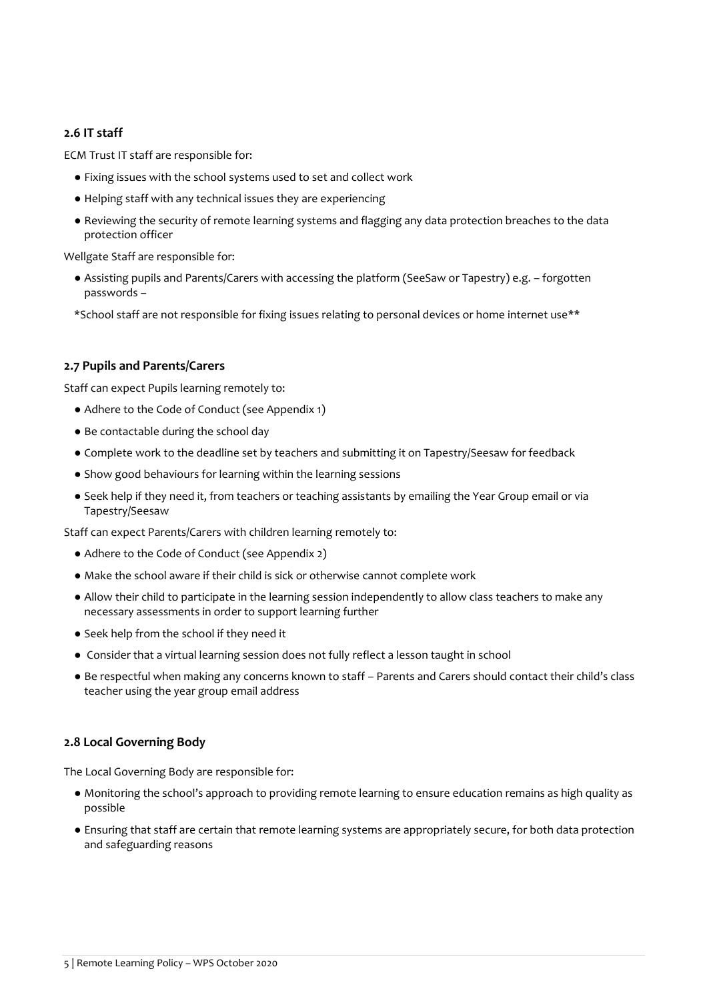# **2.6 IT staff**

ECM Trust IT staff are responsible for:

- Fixing issues with the school systems used to set and collect work
- Helping staff with any technical issues they are experiencing
- Reviewing the security of remote learning systems and flagging any data protection breaches to the data protection officer

Wellgate Staff are responsible for:

- Assisting pupils and Parents/Carers with accessing the platform (SeeSaw or Tapestry) e.g. forgotten passwords –
- \*School staff are not responsible for fixing issues relating to personal devices or home internet use\*\*

## **2.7 Pupils and Parents/Carers**

Staff can expect Pupils learning remotely to:

- Adhere to the Code of Conduct (see Appendix 1)
- Be contactable during the school day
- Complete work to the deadline set by teachers and submitting it on Tapestry/Seesaw for feedback
- Show good behaviours for learning within the learning sessions
- Seek help if they need it, from teachers or teaching assistants by emailing the Year Group email or via Tapestry/Seesaw

Staff can expect Parents/Carers with children learning remotely to:

- Adhere to the Code of Conduct (see Appendix 2)
- Make the school aware if their child is sick or otherwise cannot complete work
- Allow their child to participate in the learning session independently to allow class teachers to make any necessary assessments in order to support learning further
- Seek help from the school if they need it
- Consider that a virtual learning session does not fully reflect a lesson taught in school
- Be respectful when making any concerns known to staff Parents and Carers should contact their child's class teacher using the year group email address

## **2.8 Local Governing Body**

The Local Governing Body are responsible for:

- Monitoring the school's approach to providing remote learning to ensure education remains as high quality as possible
- Ensuring that staff are certain that remote learning systems are appropriately secure, for both data protection and safeguarding reasons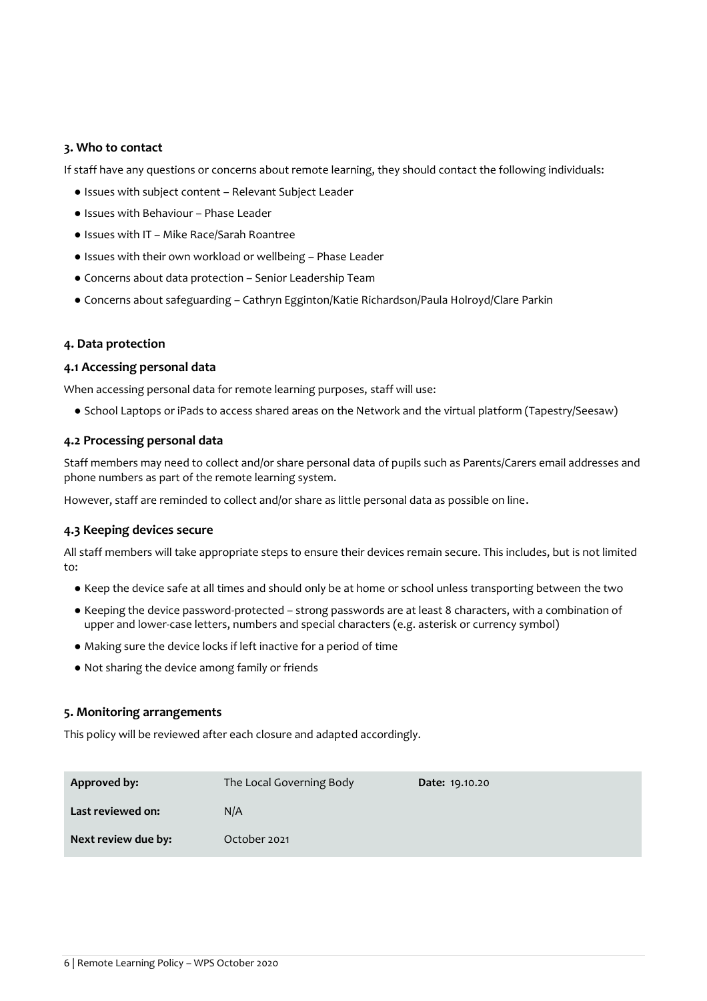#### **3. Who to contact**

If staff have any questions or concerns about remote learning, they should contact the following individuals:

- Issues with subject content Relevant Subject Leader
- Issues with Behaviour Phase Leader
- Issues with IT Mike Race/Sarah Roantree
- Issues with their own workload or wellbeing Phase Leader
- Concerns about data protection Senior Leadership Team
- Concerns about safeguarding Cathryn Egginton/Katie Richardson/Paula Holroyd/Clare Parkin

#### **4. Data protection**

#### **4.1 Accessing personal data**

When accessing personal data for remote learning purposes, staff will use:

● School Laptops or iPads to access shared areas on the Network and the virtual platform (Tapestry/Seesaw)

#### **4.2 Processing personal data**

Staff members may need to collect and/or share personal data of pupils such as Parents/Carers email addresses and phone numbers as part of the remote learning system.

However, staff are reminded to collect and/or share as little personal data as possible on line.

## **4.3 Keeping devices secure**

All staff members will take appropriate steps to ensure their devices remain secure. This includes, but is not limited to:

- Keep the device safe at all times and should only be at home or school unless transporting between the two
- Keeping the device password-protected strong passwords are at least 8 characters, with a combination of upper and lower-case letters, numbers and special characters (e.g. asterisk or currency symbol)
- Making sure the device locks if left inactive for a period of time
- Not sharing the device among family or friends

#### **5. Monitoring arrangements**

This policy will be reviewed after each closure and adapted accordingly.

| <b>Approved by:</b> | The Local Governing Body | <b>Date: 19.10.20</b> |
|---------------------|--------------------------|-----------------------|
| Last reviewed on:   | N/A                      |                       |
| Next review due by: | October 2021             |                       |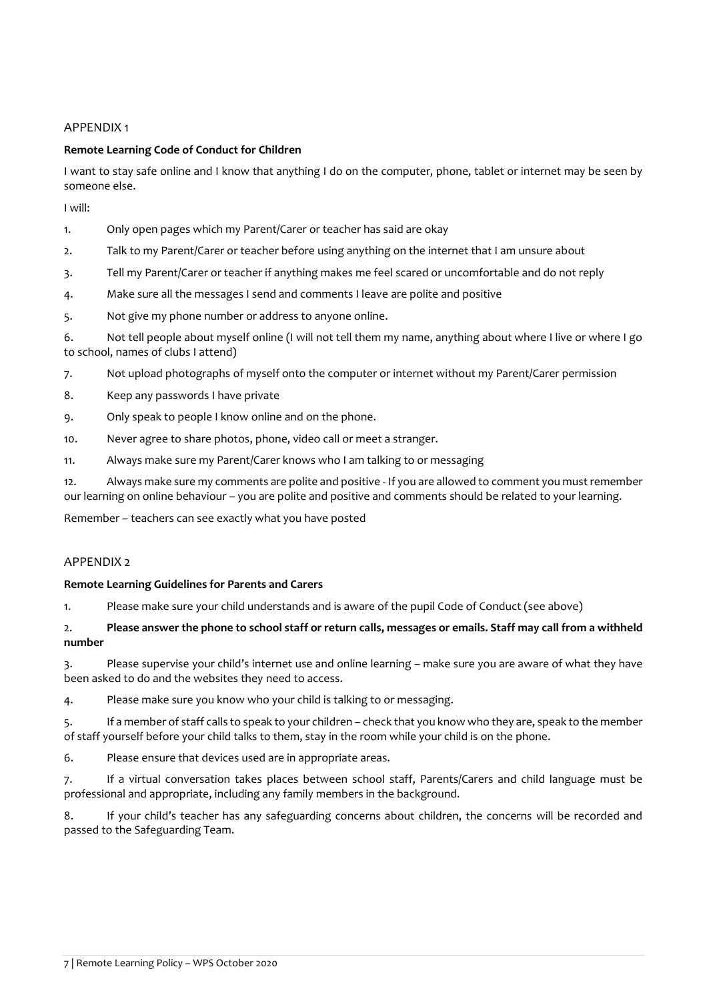### APPENDIX 1

#### **Remote Learning Code of Conduct for Children**

I want to stay safe online and I know that anything I do on the computer, phone, tablet or internet may be seen by someone else.

I will:

- 1. Only open pages which my Parent/Carer or teacher has said are okay
- 2. Talk to my Parent/Carer or teacher before using anything on the internet that I am unsure about
- 3. Tell my Parent/Carer or teacher if anything makes me feel scared or uncomfortable and do not reply
- 4. Make sure all the messages I send and comments I leave are polite and positive
- 5. Not give my phone number or address to anyone online.
- 6. Not tell people about myself online (I will not tell them my name, anything about where I live or where I go to school, names of clubs I attend)
- 7. Not upload photographs of myself onto the computer or internet without my Parent/Carer permission
- 8. Keep any passwords I have private
- 9. Only speak to people I know online and on the phone.
- 10. Never agree to share photos, phone, video call or meet a stranger.
- 11. Always make sure my Parent/Carer knows who I am talking to or messaging

12. Always make sure my comments are polite and positive - If you are allowed to comment you must remember our learning on online behaviour – you are polite and positive and comments should be related to your learning.

Remember – teachers can see exactly what you have posted

## **APPENDIX 2**

#### **Remote Learning Guidelines for Parents and Carers**

1. Please make sure your child understands and is aware of the pupil Code of Conduct (see above)

## 2. **Please answer the phone to school staff or return calls, messages or emails. Staff may call from a withheld number**

3. Please supervise your child's internet use and online learning – make sure you are aware of what they have been asked to do and the websites they need to access.

4. Please make sure you know who your child is talking to or messaging.

5. If a member of staff calls to speak to your children – check that you know who they are, speak to the member of staff yourself before your child talks to them, stay in the room while your child is on the phone.

6. Please ensure that devices used are in appropriate areas.

7. If a virtual conversation takes places between school staff, Parents/Carers and child language must be professional and appropriate, including any family members in the background.

8. If your child's teacher has any safeguarding concerns about children, the concerns will be recorded and passed to the Safeguarding Team.